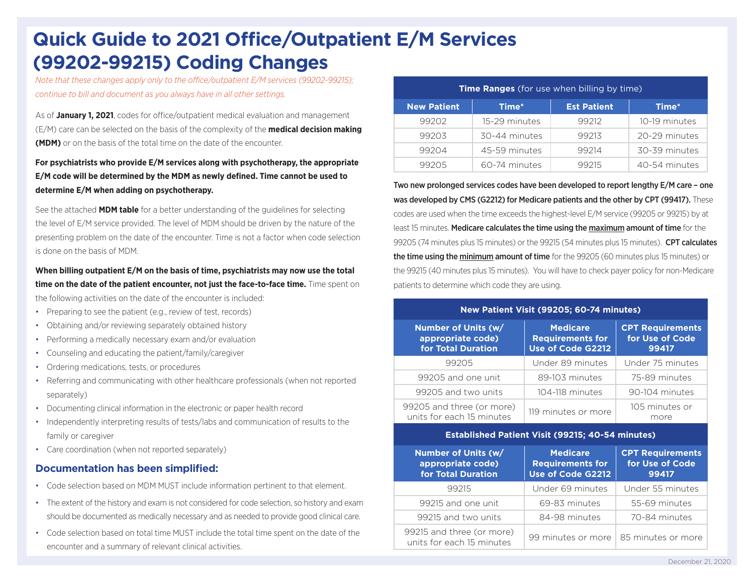## **Quick Guide to 2021 Office/Outpatient E/M Services (99202-99215) Coding Changes**

*Note that these changes apply only to the office/outpatient E/M services (99202-99215); continue to bill and document as you always have in all other settings.*

As of **January 1, 2021**, codes for office/outpatient medical evaluation and management (E/M) care can be selected on the basis of the complexity of the **medical decision making (MDM)** or on the basis of the total time on the date of the encounter.

## **For psychiatrists who provide E/M services along with psychotherapy, the appropriate E/M code will be determined by the MDM as newly defined. Time cannot be used to determine E/M when adding on psychotherapy.**

See the attached **MDM table** for a better understanding of the guidelines for selecting the level of E/M service provided. The level of MDM should be driven by the nature of the presenting problem on the date of the encounter. Time is not a factor when code selection is done on the basis of MDM.

**When billing outpatient E/M on the basis of time, psychiatrists may now use the total time on the date of the patient encounter, not just the face-to-face time.** Time spent on the following activities on the date of the encounter is included:

- Preparing to see the patient (e.g., review of test, records)
- Obtaining and/or reviewing separately obtained history
- Performing a medically necessary exam and/or evaluation
- Counseling and educating the patient/family/caregiver
- Ordering medications, tests, or procedures
- Referring and communicating with other healthcare professionals (when not reported separately)
- Documenting clinical information in the electronic or paper health record
- Independently interpreting results of tests/labs and communication of results to the family or caregiver
- Care coordination (when not reported separately)

## **Documentation has been simplified:**

- Code selection based on MDM MUST include information pertinent to that element.
- The extent of the history and exam is not considered for code selection, so history and exam should be documented as medically necessary and as needed to provide good clinical care.
- Code selection based on total time MUST include the total time spent on the date of the encounter and a summary of relevant clinical activities.

| <b>Time Ranges</b> (for use when billing by time) |               |                    |               |  |  |
|---------------------------------------------------|---------------|--------------------|---------------|--|--|
| <b>New Patient</b>                                | Time*         | <b>Est Patient</b> | Time*         |  |  |
| 99202                                             | 15-29 minutes | 99212              | 10-19 minutes |  |  |
| 99203                                             | 30-44 minutes | 99213              | 20-29 minutes |  |  |
| 99204                                             | 45-59 minutes | 99214              | 30-39 minutes |  |  |
| 99205                                             | 60-74 minutes | 99215              | 40-54 minutes |  |  |

Two new prolonged services codes have been developed to report lengthy E/M care – one was developed by CMS (G2212) for Medicare patients and the other by CPT (99417). These codes are used when the time exceeds the highest-level E/M service (99205 or 99215) by at least 15 minutes. Medicare calculates the time using the maximum amount of time for the 99205 (74 minutes plus 15 minutes) or the 99215 (54 minutes plus 15 minutes). **CPT calculates** the time using the minimum amount of time for the 99205 (60 minutes plus 15 minutes) or the 99215 (40 minutes plus 15 minutes). You will have to check payer policy for non-Medicare patients to determine which code they are using.

#### **New Patient Visit (99205; 60-74 minutes)**

| Number of Units (w/<br>appropriate code)<br>for Total Duration | <b>Medicare</b><br><b>Requirements for</b><br>Use of Code G2212 | <b>CPT Requirements</b><br>for Use of Code<br>99417 |
|----------------------------------------------------------------|-----------------------------------------------------------------|-----------------------------------------------------|
| 99205                                                          | Under 89 minutes                                                | Under 75 minutes                                    |
| 99205 and one unit                                             | 89-103 minutes                                                  | 75-89 minutes                                       |
| 99205 and two units                                            | 104-118 minutes                                                 | 90-104 minutes                                      |
| 99205 and three (or more)<br>units for each 15 minutes         | 119 minutes or more                                             | 105 minutes or<br>more                              |

#### **Established Patient Visit (99215; 40-54 minutes)**

| Number of Units (w/<br>appropriate code)<br>for Total Duration | <b>Medicare</b><br><b>Requirements for</b><br>Use of Code G2212 | <b>CPT Requirements</b><br>for Use of Code<br>99417 |  |
|----------------------------------------------------------------|-----------------------------------------------------------------|-----------------------------------------------------|--|
| 99215                                                          | Under 69 minutes                                                | Under 55 minutes                                    |  |
| 99215 and one unit                                             | 69-83 minutes                                                   | 55-69 minutes                                       |  |
| 99215 and two units                                            | 84-98 minutes                                                   | 70-84 minutes                                       |  |
| 99215 and three (or more)<br>units for each 15 minutes         | 99 minutes or more                                              | 85 minutes or more                                  |  |